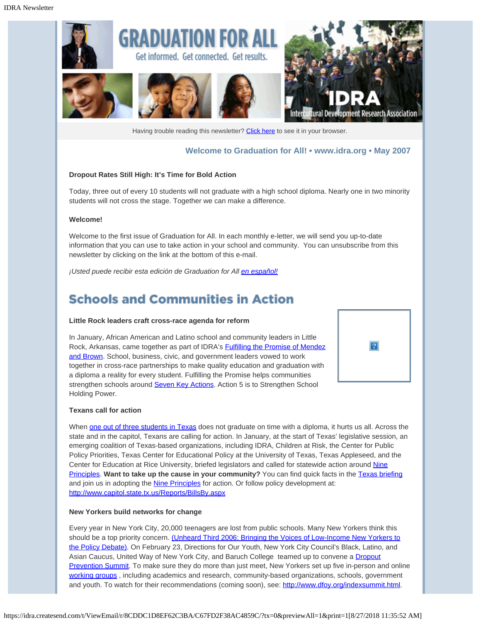

Having trouble reading this newsletter? [Click here](http://idra.createsend.com/t/1/e/jjlkt/l/) to see it in your browser.

## **Welcome to Graduation for All! • [www.idra.org](http://idra.createsend.com/t/1/l/jjlkt/l/www.idra.org) • May 2007**

 $|2|$ 

#### **Dropout Rates Still High: It's Time for Bold Action**

Today, three out of every 10 students will not graduate with a high school diploma. Nearly one in two minority students will not cross the stage. Together we can make a difference.

#### **Welcome!**

Welcome to the first issue of Graduation for All. In each monthly e-letter, we will send you up-to-date information that you can use to take action in your school and community. You can unsubscribe from this newsletter by clicking on the link at the bottom of this e-mail.

*¡Usted puede recibir esta edición de Graduation for All [en español!](http://idra.createsend.com/t/1/l/jjlkt/l/idra.createsend.com/t/1/e/jjdlu/l/)*

# **Schools and Communities in Action**

#### **Little Rock leaders craft cross-race agenda for reform**

In January, African American and Latino school and community leaders in Little Rock, Arkansas, came together as part of IDRA's [Fulfilling the Promise of Mendez](http://idra.createsend.com/t/1/l/jjlkt/l/www.idra.org/mendezbrown/) [and Brown](http://idra.createsend.com/t/1/l/jjlkt/l/www.idra.org/mendezbrown/). School, business, civic, and government leaders vowed to work together in cross-race partnerships to make quality education and graduation with a diploma a reality for every student. Fulfilling the Promise helps communities strengthen schools around [Seven Key Actions](http://idra.createsend.com/t/1/l/jjlkt/l/www.idra.org/mendezbrown/A_Community_Action_Guide.pdf). Action 5 is to Strengthen School Holding Power.

#### **Texans call for action**

When [one out of three students in Texas](http://idra.createsend.com/t/1/l/jjlkt/l/www.idra.org/IDRA_Newsletters/October_2006_School_Holding_Power/Texas_Public_School_Attrition_Study_2005-06/) does not graduate on time with a diploma, it hurts us all. Across the state and in the capitol, Texans are calling for action. In January, at the start of Texas' legislative session, an emerging coalition of Texas-based organizations, including IDRA, Children at Risk, the Center for Public Policy Priorities, Texas Center for Educational Policy at the University of Texas, Texas Appleseed, and the Center for Education at Rice University, briefed legislators and called for statewide action around [Nine](http://idra.createsend.com/t/1/l/jjlkt/l/www.idra.org/images/stories/PrinciplesForAction.pdf) [Principles](http://idra.createsend.com/t/1/l/jjlkt/l/www.idra.org/images/stories/PrinciplesForAction.pdf). Want to take up the cause in your community? You can find quick facts in the [Texas briefing](http://idra.createsend.com/t/1/l/jjlkt/l/www.idra.org/images/stories/TexasDropoutCrisisPresentation.ppt) and join us in adopting the **Nine Principles** for action. Or follow policy development at: [http://www.capitol.state.tx.us/Reports/BillsBy.aspx](http://idra.createsend.com/t/1/l/jjlkt/l/www.capitol.state.tx.us/Reports/BillsBy.aspx)

#### **New Yorkers build networks for change**

Every year in New York City, 20,000 teenagers are lost from public schools. Many New Yorkers think this should be a top priority concern. [\(Unheard Third 2006: Bringing the Voices of Low-Income New Yorkers to](http://idra.createsend.com/t/1/l/jjlkt/l/www.cssny.org/pdfs/uht06slides/education.pdf) [the Policy Debate\).](http://idra.createsend.com/t/1/l/jjlkt/l/www.cssny.org/pdfs/uht06slides/education.pdf) On February 23, Directions for Our Youth, New York City Council's Black, Latino, and Asian Caucus, United Way of New York City, and Baruch College teamed up to convene a [Dropout](http://idra.createsend.com/t/1/l/jjlkt/l/www.dfoy.org/indexsummit.html) [Prevention Summit](http://idra.createsend.com/t/1/l/jjlkt/l/www.dfoy.org/indexsummit.html). To make sure they do more than just meet, New Yorkers set up five in-person and online [working groups](http://idra.createsend.com/t/1/l/jjlkt/l/dfoy.blogspot.com/2007/02/national-dropout-prevention-act-for.html), including academics and research, community-based organizations, schools, government and youth. To watch for their recommendations (coming soon), see: [http://www.dfoy.org/indexsummit.html](http://idra.createsend.com/t/1/l/jjlkt/l/www.dfoy.org/indexsummit.html).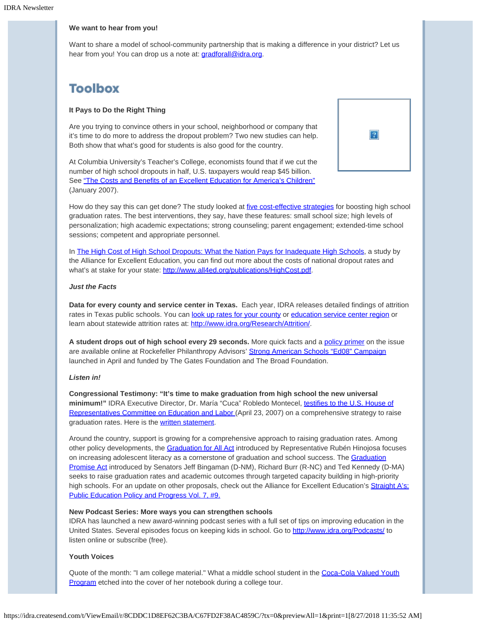### **We want to hear from you!**

Want to share a model of school-community partnership that is making a difference in your district? Let us hear from you! You can drop us a note at: *gradforall@idra.org*.

# **Toolbox**

## **It Pays to Do the Right Thing**

Are you trying to convince others in your school, neighborhood or company that it's time to do more to address the dropout problem? Two new studies can help. Both show that what's good for students is also good for the country.

At Columbia University's Teacher's College, economists found that if we cut the number of high school dropouts in half, U.S. taxpayers would reap \$45 billion. See ["The Costs and Benefits of an Excellent Education for America's Children"](http://idra.createsend.com/t/1/l/jjlkt/l/www.cbcse.org/media/download_gallery/Leeds_Report_Final_Jan2007.pdf) (January 2007).



How do they say this can get done? The study looked at *five cost-effective strategies* for boosting high school graduation rates. The best interventions, they say, have these features: small school size; high levels of personalization; high academic expectations; strong counseling; parent engagement; extended-time school sessions; competent and appropriate personnel.

In [The High Cost of High School Dropouts: What the Nation Pays for Inadequate High Schools](http://idra.createsend.com/t/1/l/jjlkt/l/www.all4ed.org/publications/HighCost.pdf), a study by the Alliance for Excellent Education, you can find out more about the costs of national dropout rates and what's at stake for your state: [http://www.all4ed.org/publications/HighCost.pdf](http://idra.createsend.com/t/1/l/jjlkt/l/www.all4ed.org/publications/HighCost.pdf).

### *Just the Facts*

**Data for every county and service center in Texas.** Each year, IDRA releases detailed findings of attrition rates in Texas public schools. You can [look up rates for your county](http://idra.createsend.com/t/1/l/jjlkt/l/www.idra.org/wrapper/) or [education service center region](http://idra.createsend.com/t/1/l/jjlkt/l/www.idra.org/Attrition/Study/Attrition_Rates_by_ESC/) or learn about statewide attrition rates at: [http://www.idra.org/Research/Attrition/.](http://idra.createsend.com/t/1/l/jjlkt/l/www.idra.org/Research/Attrition/)

**A student drops out of high school every 29 seconds.** More quick facts and a [policy primer](http://idra.createsend.com/t/1/l/jjlkt/l/www.edin08.com/uploadedFiles/policy-primer.pdf) on the issue are available online at Rockefeller Philanthropy Advisors' [Strong American Schools "Ed08" Campaign](http://idra.createsend.com/t/1/l/jjlkt/l/www.edin08.com/) launched in April and funded by The Gates Foundation and The Broad Foundation.

### *Listen in!*

**Congressional Testimony: "It's time to make graduation from high school the new universal minimum!"** IDRA Executive Director, Dr. María "Cuca" Robledo Montecel, [testifies to the U.S. House of](http://idra.createsend.com/t/1/l/jjlkt/l/edlabor.house.gov/committee/schedule.shtml) [Representatives Committee on Education and Labor \(](http://idra.createsend.com/t/1/l/jjlkt/l/edlabor.house.gov/committee/schedule.shtml)April 23, 2007) on a comprehensive strategy to raise graduation rates. Here is the [written statement](http://idra.createsend.com/t/1/l/jjlkt/l/edlabor.house.gov/testimony/042307MariaMonteceltestimony.pdf).

Around the country, support is growing for a comprehensive approach to raising graduation rates. Among other policy developments, the [Graduation for All Act](http://idra.createsend.com/t/1/l/jjlkt/l/thomas.loc.gov/home/gpoxmlc110/h1623_ih.xml) introduced by Representative Rubén Hinojosa focuses on increasing adolescent literacy as a cornerstone of graduation and school success. The [Graduation](http://idra.createsend.com/t/1/l/jjlkt/l/thomas.loc.gov/cgi-bin/query/z?c110li7li1S.1185li7li1) [Promise Act](http://idra.createsend.com/t/1/l/jjlkt/l/thomas.loc.gov/cgi-bin/query/z?c110li7li1S.1185li7li1) introduced by Senators Jeff Bingaman (D-NM), Richard Burr (R-NC) and Ted Kennedy (D-MA) seeks to raise graduation rates and academic outcomes through targeted capacity building in high-priority high schools. For an update on other proposals, check out the Alliance for Excellent Education's [Straight A's:](http://idra.createsend.com/t/1/l/jjlkt/l/www.all4ed.org/publications/StraightAs/Volume7No9.html%23GPA) [Public Education Policy and Progress Vol. 7, #9.](http://idra.createsend.com/t/1/l/jjlkt/l/www.all4ed.org/publications/StraightAs/Volume7No9.html%23GPA)

### **New Podcast Series: More ways you can strengthen schools**

IDRA has launched a new award-winning podcast series with a full set of tips on improving education in the United States. Several episodes focus on keeping kids in school. Go to [http://www.idra.org/Podcasts/](http://idra.createsend.com/t/1/l/jjlkt/l/www.idra.org/Podcasts/) to listen online or subscribe (free).

## **Youth Voices**

Quote of the month: "I am college material." What a middle school student in the [Coca-Cola Valued Youth](http://idra.createsend.com/t/1/l/jjlkt/l/www.idra.org/Coca-Cola_Valued_Youth_Program.htm/) [Program](http://idra.createsend.com/t/1/l/jjlkt/l/www.idra.org/Coca-Cola_Valued_Youth_Program.htm/) etched into the cover of her notebook during a college tour.